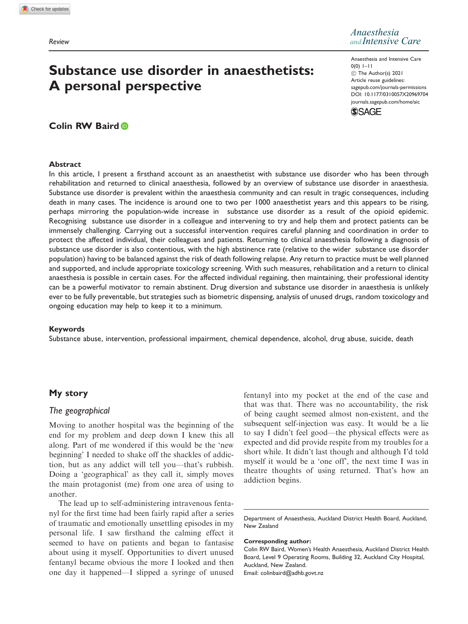# Substance use disorder in anaesthetists: A personal perspective

*Anaesthesia and Intensive Care*

Anaesthesia and Intensive Care 0(0) 1–11 ! The Author(s) 2021 Article reuse guidelines: [sagepub.com/journals-permissions](http://uk.sagepub.com/en-gb/journals-permissions) [DOI: 10.1177/0310057X20969704](http://dx.doi.org/10.1177/0310057X20969704) <journals.sagepub.com/home/aic>



# Colin RW Baird

#### Abstract

In this article, I present a firsthand account as an anaesthetist with substance use disorder who has been through rehabilitation and returned to clinical anaesthesia, followed by an overview of substance use disorder in anaesthesia. Substance use disorder is prevalent within the anaesthesia community and can result in tragic consequences, including death in many cases. The incidence is around one to two per 1000 anaesthetist years and this appears to be rising, perhaps mirroring the population-wide increase in substance use disorder as a result of the opioid epidemic. Recognising substance use disorder in a colleague and intervening to try and help them and protect patients can be immensely challenging. Carrying out a successful intervention requires careful planning and coordination in order to protect the affected individual, their colleagues and patients. Returning to clinical anaesthesia following a diagnosis of substance use disorder is also contentious, with the high abstinence rate (relative to the wider substance use disorder population) having to be balanced against the risk of death following relapse. Any return to practice must be well planned and supported, and include appropriate toxicology screening. With such measures, rehabilitation and a return to clinical anaesthesia is possible in certain cases. For the affected individual regaining, then maintaining, their professional identity can be a powerful motivator to remain abstinent. Drug diversion and substance use disorder in anaesthesia is unlikely ever to be fully preventable, but strategies such as biometric dispensing, analysis of unused drugs, random toxicology and ongoing education may help to keep it to a minimum.

#### Keywords

Substance abuse, intervention, professional impairment, chemical dependence, alcohol, drug abuse, suicide, death

# My story

# The geographical

Moving to another hospital was the beginning of the end for my problem and deep down I knew this all along. Part of me wondered if this would be the 'new beginning' I needed to shake off the shackles of addiction, but as any addict will tell you—that's rubbish. Doing a 'geographical' as they call it, simply moves the main protagonist (me) from one area of using to another.

The lead up to self-administering intravenous fentanyl for the first time had been fairly rapid after a series of traumatic and emotionally unsettling episodes in my personal life. I saw firsthand the calming effect it seemed to have on patients and began to fantasise about using it myself. Opportunities to divert unused fentanyl became obvious the more I looked and then one day it happened—I slipped a syringe of unused

fentanyl into my pocket at the end of the case and that was that. There was no accountability, the risk of being caught seemed almost non-existent, and the subsequent self-injection was easy. It would be a lie to say I didn't feel good—the physical effects were as expected and did provide respite from my troubles for a short while. It didn't last though and although I'd told myself it would be a 'one off', the next time I was in theatre thoughts of using returned. That's how an addiction begins.

Department of Anaesthesia, Auckland District Health Board, Auckland, New Zealand

#### Corresponding author:

Colin RW Baird, Women's Health Anaesthesia, Auckland District Health Board, Level 9 Operating Rooms, Building 32, Auckland City Hospital, Auckland, New Zealand. Email: [colinbaird@adhb.govt.nz](mailto:colinbaird@adhb.govt.nz)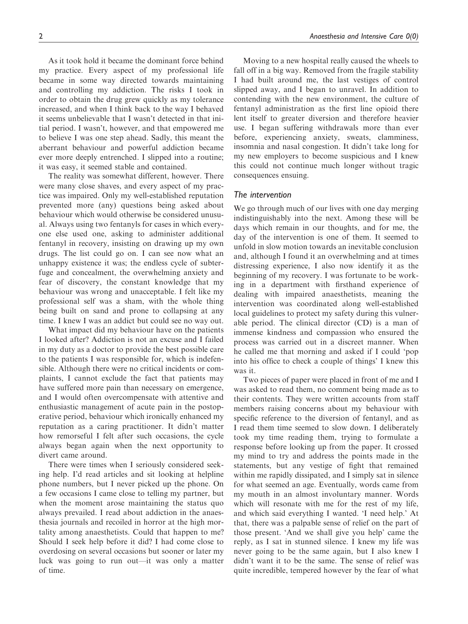As it took hold it became the dominant force behind my practice. Every aspect of my professional life became in some way directed towards maintaining and controlling my addiction. The risks I took in order to obtain the drug grew quickly as my tolerance increased, and when I think back to the way I behaved it seems unbelievable that I wasn't detected in that initial period. I wasn't, however, and that empowered me to believe I was one step ahead. Sadly, this meant the aberrant behaviour and powerful addiction became ever more deeply entrenched. I slipped into a routine; it was easy, it seemed stable and contained.

The reality was somewhat different, however. There were many close shaves, and every aspect of my practice was impaired. Only my well-established reputation prevented more (any) questions being asked about behaviour which would otherwise be considered unusual. Always using two fentanyls for cases in which everyone else used one, asking to administer additional fentanyl in recovery, insisting on drawing up my own drugs. The list could go on. I can see now what an unhappy existence it was; the endless cycle of subterfuge and concealment, the overwhelming anxiety and fear of discovery, the constant knowledge that my behaviour was wrong and unacceptable. I felt like my professional self was a sham, with the whole thing being built on sand and prone to collapsing at any time. I knew I was an addict but could see no way out.

What impact did my behaviour have on the patients I looked after? Addiction is not an excuse and I failed in my duty as a doctor to provide the best possible care to the patients I was responsible for, which is indefensible. Although there were no critical incidents or complaints, I cannot exclude the fact that patients may have suffered more pain than necessary on emergence, and I would often overcompensate with attentive and enthusiastic management of acute pain in the postoperative period, behaviour which ironically enhanced my reputation as a caring practitioner. It didn't matter how remorseful I felt after such occasions, the cycle always began again when the next opportunity to divert came around.

There were times when I seriously considered seeking help. I'd read articles and sit looking at helpline phone numbers, but I never picked up the phone. On a few occasions I came close to telling my partner, but when the moment arose maintaining the status quo always prevailed. I read about addiction in the anaesthesia journals and recoiled in horror at the high mortality among anaesthetists. Could that happen to me? Should I seek help before it did? I had come close to overdosing on several occasions but sooner or later my luck was going to run out—it was only a matter of time.

Moving to a new hospital really caused the wheels to fall off in a big way. Removed from the fragile stability I had built around me, the last vestiges of control slipped away, and I began to unravel. In addition to contending with the new environment, the culture of fentanyl administration as the first line opioid there lent itself to greater diversion and therefore heavier use. I began suffering withdrawals more than ever before, experiencing anxiety, sweats, clamminess, insomnia and nasal congestion. It didn't take long for my new employers to become suspicious and I knew this could not continue much longer without tragic consequences ensuing.

#### The intervention

We go through much of our lives with one day merging indistinguishably into the next. Among these will be days which remain in our thoughts, and for me, the day of the intervention is one of them. It seemed to unfold in slow motion towards an inevitable conclusion and, although I found it an overwhelming and at times distressing experience, I also now identify it as the beginning of my recovery. I was fortunate to be working in a department with firsthand experience of dealing with impaired anaesthetists, meaning the intervention was coordinated along well-established local guidelines to protect my safety during this vulnerable period. The clinical director (CD) is a man of immense kindness and compassion who ensured the process was carried out in a discreet manner. When he called me that morning and asked if I could 'pop into his office to check a couple of things' I knew this was it.

Two pieces of paper were placed in front of me and I was asked to read them, no comment being made as to their contents. They were written accounts from staff members raising concerns about my behaviour with specific reference to the diversion of fentanyl, and as I read them time seemed to slow down. I deliberately took my time reading them, trying to formulate a response before looking up from the paper. It crossed my mind to try and address the points made in the statements, but any vestige of fight that remained within me rapidly dissipated, and I simply sat in silence for what seemed an age. Eventually, words came from my mouth in an almost involuntary manner. Words which will resonate with me for the rest of my life, and which said everything I wanted. 'I need help.' At that, there was a palpable sense of relief on the part of those present. 'And we shall give you help' came the reply, as I sat in stunned silence. I knew my life was never going to be the same again, but I also knew I didn't want it to be the same. The sense of relief was quite incredible, tempered however by the fear of what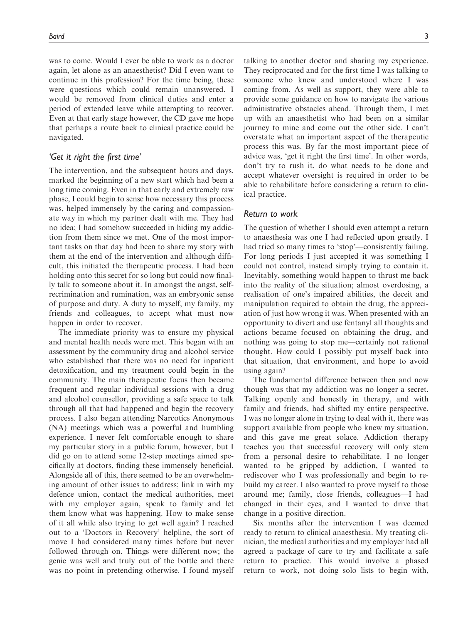was to come. Would I ever be able to work as a doctor again, let alone as an anaesthetist? Did I even want to continue in this profession? For the time being, these were questions which could remain unanswered. I would be removed from clinical duties and enter a period of extended leave while attempting to recover. Even at that early stage however, the CD gave me hope that perhaps a route back to clinical practice could be navigated.

# 'Get it right the first time'

The intervention, and the subsequent hours and days, marked the beginning of a new start which had been a long time coming. Even in that early and extremely raw phase, I could begin to sense how necessary this process was, helped immensely by the caring and compassionate way in which my partner dealt with me. They had no idea; I had somehow succeeded in hiding my addiction from them since we met. One of the most important tasks on that day had been to share my story with them at the end of the intervention and although difficult, this initiated the therapeutic process. I had been holding onto this secret for so long but could now finally talk to someone about it. In amongst the angst, selfrecrimination and rumination, was an embryonic sense of purpose and duty. A duty to myself, my family, my friends and colleagues, to accept what must now happen in order to recover.

The immediate priority was to ensure my physical and mental health needs were met. This began with an assessment by the community drug and alcohol service who established that there was no need for inpatient detoxification, and my treatment could begin in the community. The main therapeutic focus then became frequent and regular individual sessions with a drug and alcohol counsellor, providing a safe space to talk through all that had happened and begin the recovery process. I also began attending Narcotics Anonymous (NA) meetings which was a powerful and humbling experience. I never felt comfortable enough to share my particular story in a public forum, however, but I did go on to attend some 12-step meetings aimed specifically at doctors, finding these immensely beneficial. Alongside all of this, there seemed to be an overwhelming amount of other issues to address; link in with my defence union, contact the medical authorities, meet with my employer again, speak to family and let them know what was happening. How to make sense of it all while also trying to get well again? I reached out to a 'Doctors in Recovery' helpline, the sort of move I had considered many times before but never followed through on. Things were different now; the genie was well and truly out of the bottle and there was no point in pretending otherwise. I found myself talking to another doctor and sharing my experience. They reciprocated and for the first time I was talking to someone who knew and understood where I was coming from. As well as support, they were able to provide some guidance on how to navigate the various administrative obstacles ahead. Through them, I met up with an anaesthetist who had been on a similar journey to mine and come out the other side. I can't overstate what an important aspect of the therapeutic process this was. By far the most important piece of advice was, 'get it right the first time'. In other words, don't try to rush it, do what needs to be done and accept whatever oversight is required in order to be able to rehabilitate before considering a return to clinical practice.

#### Return to work

The question of whether I should even attempt a return to anaesthesia was one I had reflected upon greatly. I had tried so many times to 'stop'—consistently failing. For long periods I just accepted it was something I could not control, instead simply trying to contain it. Inevitably, something would happen to thrust me back into the reality of the situation; almost overdosing, a realisation of one's impaired abilities, the deceit and manipulation required to obtain the drug, the appreciation of just how wrong it was. When presented with an opportunity to divert and use fentanyl all thoughts and actions became focused on obtaining the drug, and nothing was going to stop me—certainly not rational thought. How could I possibly put myself back into that situation, that environment, and hope to avoid using again?

The fundamental difference between then and now though was that my addiction was no longer a secret. Talking openly and honestly in therapy, and with family and friends, had shifted my entire perspective. I was no longer alone in trying to deal with it, there was support available from people who knew my situation, and this gave me great solace. Addiction therapy teaches you that successful recovery will only stem from a personal desire to rehabilitate. I no longer wanted to be gripped by addiction, I wanted to rediscover who I was professionally and begin to rebuild my career. I also wanted to prove myself to those around me; family, close friends, colleagues—I had changed in their eyes, and I wanted to drive that change in a positive direction.

Six months after the intervention I was deemed ready to return to clinical anaesthesia. My treating clinician, the medical authorities and my employer had all agreed a package of care to try and facilitate a safe return to practice. This would involve a phased return to work, not doing solo lists to begin with,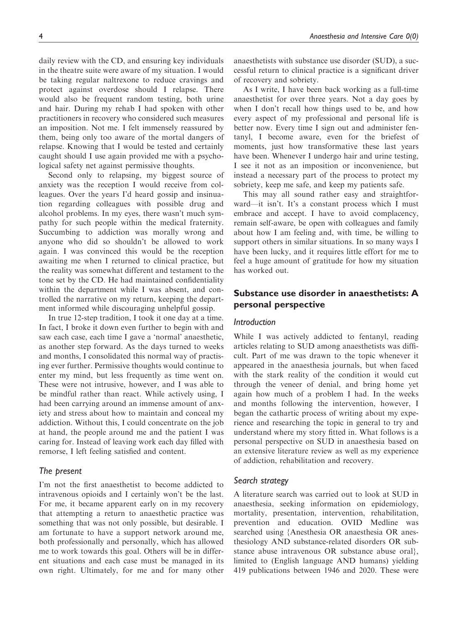daily review with the CD, and ensuring key individuals in the theatre suite were aware of my situation. I would be taking regular naltrexone to reduce cravings and protect against overdose should I relapse. There would also be frequent random testing, both urine and hair. During my rehab I had spoken with other practitioners in recovery who considered such measures an imposition. Not me. I felt immensely reassured by them, being only too aware of the mortal dangers of relapse. Knowing that I would be tested and certainly caught should I use again provided me with a psychological safety net against permissive thoughts.

Second only to relapsing, my biggest source of anxiety was the reception I would receive from colleagues. Over the years I'd heard gossip and insinuation regarding colleagues with possible drug and alcohol problems. In my eyes, there wasn't much sympathy for such people within the medical fraternity. Succumbing to addiction was morally wrong and anyone who did so shouldn't be allowed to work again. I was convinced this would be the reception awaiting me when I returned to clinical practice, but the reality was somewhat different and testament to the tone set by the CD. He had maintained confidentiality within the department while I was absent, and controlled the narrative on my return, keeping the department informed while discouraging unhelpful gossip.

In true 12-step tradition, I took it one day at a time. In fact, I broke it down even further to begin with and saw each case, each time I gave a 'normal' anaesthetic, as another step forward. As the days turned to weeks and months, I consolidated this normal way of practising ever further. Permissive thoughts would continue to enter my mind, but less frequently as time went on. These were not intrusive, however, and I was able to be mindful rather than react. While actively using, I had been carrying around an immense amount of anxiety and stress about how to maintain and conceal my addiction. Without this, I could concentrate on the job at hand, the people around me and the patient I was caring for. Instead of leaving work each day filled with remorse, I left feeling satisfied and content.

# The present

I'm not the first anaesthetist to become addicted to intravenous opioids and I certainly won't be the last. For me, it became apparent early on in my recovery that attempting a return to anaesthetic practice was something that was not only possible, but desirable. I am fortunate to have a support network around me, both professionally and personally, which has allowed me to work towards this goal. Others will be in different situations and each case must be managed in its own right. Ultimately, for me and for many other anaesthetists with substance use disorder (SUD), a successful return to clinical practice is a significant driver of recovery and sobriety.

As I write, I have been back working as a full-time anaesthetist for over three years. Not a day goes by when I don't recall how things used to be, and how every aspect of my professional and personal life is better now. Every time I sign out and administer fentanyl, I become aware, even for the briefest of moments, just how transformative these last years have been. Whenever I undergo hair and urine testing, I see it not as an imposition or inconvenience, but instead a necessary part of the process to protect my sobriety, keep me safe, and keep my patients safe.

This may all sound rather easy and straightforward—it isn't. It's a constant process which I must embrace and accept. I have to avoid complacency, remain self-aware, be open with colleagues and family about how I am feeling and, with time, be willing to support others in similar situations. In so many ways I have been lucky, and it requires little effort for me to feel a huge amount of gratitude for how my situation has worked out.

# Substance use disorder in anaesthetists: A personal perspective

# Introduction

While I was actively addicted to fentanyl, reading articles relating to SUD among anaesthetists was difficult. Part of me was drawn to the topic whenever it appeared in the anaesthesia journals, but when faced with the stark reality of the condition it would cut through the veneer of denial, and bring home yet again how much of a problem I had. In the weeks and months following the intervention, however, I began the cathartic process of writing about my experience and researching the topic in general to try and understand where my story fitted in. What follows is a personal perspective on SUD in anaesthesia based on an extensive literature review as well as my experience of addiction, rehabilitation and recovery.

#### Search strategy

A literature search was carried out to look at SUD in anaesthesia, seeking information on epidemiology, mortality, presentation, intervention, rehabilitation, prevention and education. OVID Medline was searched using {Anesthesia OR anaesthesia OR anesthesiology AND substance-related disorders OR substance abuse intravenous OR substance abuse oral}, limited to (English language AND humans) yielding 419 publications between 1946 and 2020. These were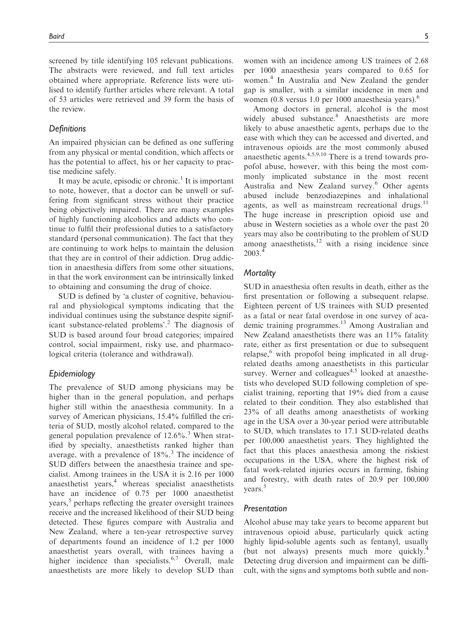screened by title identifying 105 relevant publications. The abstracts were reviewed, and full text articles obtained where appropriate. Reference lists were utilised to identify further articles where relevant. A total of 53 articles were retrieved and 39 form the basis of the review.

# **Definitions**

An impaired physician can be defined as one suffering from any physical or mental condition, which affects or has the potential to affect, his or her capacity to practise medicine safely.

It may be acute, episodic or chronic.<sup>1</sup> It is important to note, however, that a doctor can be unwell or suffering from significant stress without their practice being objectively impaired. There are many examples of highly functioning alcoholics and addicts who continue to fulfil their professional duties to a satisfactory standard (personal communication). The fact that they are continuing to work helps to maintain the delusion that they are in control of their addiction. Drug addiction in anaesthesia differs from some other situations, in that the work environment can be intrinsically linked to obtaining and consuming the drug of choice.

SUD is defined by 'a cluster of cognitive, behavioural and physiological symptoms indicating that the individual continues using the substance despite significant substance-related problems'.<sup>2</sup> The diagnosis of SUD is based around four broad categories; impaired control, social impairment, risky use, and pharmacological criteria (tolerance and withdrawal).

# Epidemiology

The prevalence of SUD among physicians may be higher than in the general population, and perhaps higher still within the anaesthesia community. In a survey of American physicians, 15.4% fulfilled the criteria of SUD, mostly alcohol related, compared to the general population prevalence of  $12.6\%$ .<sup>3</sup> When stratified by specialty, anaesthetists ranked higher than average, with a prevalence of  $18\%$ .<sup>3</sup> The incidence of SUD differs between the anaesthesia trainee and specialist. Among trainees in the USA it is 2.16 per 1000 anaesthetist years, $4$  whereas specialist anaesthetists have an incidence of 0.75 per 1000 anaesthetist years,<sup>5</sup> perhaps reflecting the greater oversight trainees receive and the increased likelihood of their SUD being detected. These figures compare with Australia and New Zealand, where a ten-year retrospective survey of departments found an incidence of 1.2 per 1000 anaesthetist years overall, with trainees having a higher incidence than specialists.<sup>6,7</sup> Overall, male anaesthetists are more likely to develop SUD than women with an incidence among US trainees of 2.68 per 1000 anaesthesia years compared to 0.65 for women.<sup>4</sup> In Australia and New Zealand the gender gap is smaller, with a similar incidence in men and women (0.8 versus 1.0 per 1000 anaesthesia years).<sup>6</sup>

Among doctors in general, alcohol is the most widely abused substance.<sup>8</sup> Anaesthetists are more likely to abuse anaesthetic agents, perhaps due to the ease with which they can be accessed and diverted, and intravenous opioids are the most commonly abused anaesthetic agents.4,5,9,10 There is a trend towards propofol abuse, however, with this being the most commonly implicated substance in the most recent Australia and New Zealand survey.<sup>6</sup> Other agents abused include benzodiazepines and inhalational agents, as well as mainstream recreational drugs. $^{11}$ The huge increase in prescription opioid use and abuse in Western societies as a whole over the past 20 years may also be contributing to the problem of SUD among anaesthetists, $12$  with a rising incidence since 2003.<sup>4</sup>

# **Mortality**

SUD in anaesthesia often results in death, either as the first presentation or following a subsequent relapse. Eighteen percent of US trainees with SUD presented as a fatal or near fatal overdose in one survey of academic training programmes.<sup>13</sup> Among Australian and New Zealand anaesthetists there was an 11% fatality rate, either as first presentation or due to subsequent relapse, $6$  with propofol being implicated in all drugrelated deaths among anaesthetists in this particular survey. Werner and colleagues<sup>4,5</sup> looked at anaesthetists who developed SUD following completion of specialist training, reporting that 19% died from a cause related to their condition. They also established that 23% of all deaths among anaesthetists of working age in the USA over a 30-year period were attributable to SUD, which translates to 17.1 SUD-related deaths per 100,000 anaesthetist years. They highlighted the fact that this places anaesthesia among the riskiest occupations in the USA, where the highest risk of fatal work-related injuries occurs in farming, fishing and forestry, with death rates of 20.9 per 100,000 years.<sup>5</sup>

#### Presentation

Alcohol abuse may take years to become apparent but intravenous opioid abuse, particularly quick acting highly lipid-soluble agents such as fentanyl, usually (but not always) presents much more quickly.<sup>4</sup> Detecting drug diversion and impairment can be difficult, with the signs and symptoms both subtle and non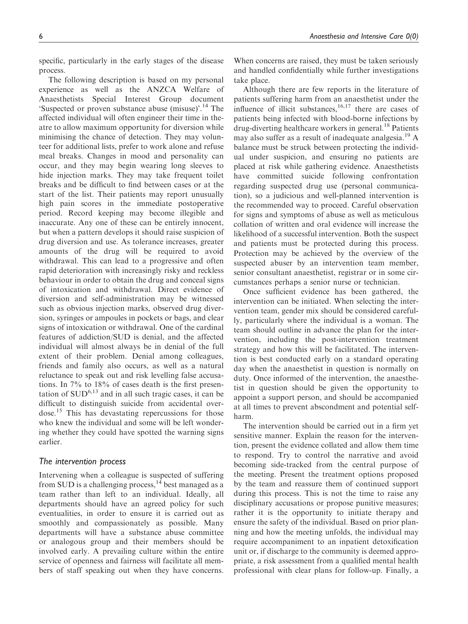specific, particularly in the early stages of the disease process.

The following description is based on my personal experience as well as the ANZCA Welfare of Anaesthetists Special Interest Group document 'Suspected or proven substance abuse (misuse)'.<sup>14</sup> The affected individual will often engineer their time in theatre to allow maximum opportunity for diversion while minimising the chance of detection. They may volunteer for additional lists, prefer to work alone and refuse meal breaks. Changes in mood and personality can occur, and they may begin wearing long sleeves to hide injection marks. They may take frequent toilet breaks and be difficult to find between cases or at the start of the list. Their patients may report unusually high pain scores in the immediate postoperative period. Record keeping may become illegible and inaccurate. Any one of these can be entirely innocent, but when a pattern develops it should raise suspicion of drug diversion and use. As tolerance increases, greater amounts of the drug will be required to avoid withdrawal. This can lead to a progressive and often rapid deterioration with increasingly risky and reckless behaviour in order to obtain the drug and conceal signs of intoxication and withdrawal. Direct evidence of diversion and self-administration may be witnessed such as obvious injection marks, observed drug diversion, syringes or ampoules in pockets or bags, and clear signs of intoxication or withdrawal. One of the cardinal features of addiction/SUD is denial, and the affected individual will almost always be in denial of the full extent of their problem. Denial among colleagues, friends and family also occurs, as well as a natural reluctance to speak out and risk levelling false accusations. In 7% to 18% of cases death is the first presentation of  $\text{SUD}^{6,13}$  and in all such tragic cases, it can be difficult to distinguish suicide from accidental overdose.<sup>15</sup> This has devastating repercussions for those who knew the individual and some will be left wondering whether they could have spotted the warning signs earlier.

# The intervention process

Intervening when a colleague is suspected of suffering from SUD is a challenging process,  $^{14}$  best managed as a team rather than left to an individual. Ideally, all departments should have an agreed policy for such eventualities, in order to ensure it is carried out as smoothly and compassionately as possible. Many departments will have a substance abuse committee or analogous group and their members should be involved early. A prevailing culture within the entire service of openness and fairness will facilitate all members of staff speaking out when they have concerns. When concerns are raised, they must be taken seriously and handled confidentially while further investigations take place.

Although there are few reports in the literature of patients suffering harm from an anaesthetist under the influence of illicit substances, $16,17$  there are cases of patients being infected with blood-borne infections by drug-diverting healthcare workers in general.<sup>18</sup> Patients may also suffer as a result of inadequate analgesia.<sup>19</sup> A balance must be struck between protecting the individual under suspicion, and ensuring no patients are placed at risk while gathering evidence. Anaesthetists have committed suicide following confrontation regarding suspected drug use (personal communication), so a judicious and well-planned intervention is the recommended way to proceed. Careful observation for signs and symptoms of abuse as well as meticulous collation of written and oral evidence will increase the likelihood of a successful intervention. Both the suspect and patients must be protected during this process. Protection may be achieved by the overview of the suspected abuser by an intervention team member, senior consultant anaesthetist, registrar or in some circumstances perhaps a senior nurse or technician.

Once sufficient evidence has been gathered, the intervention can be initiated. When selecting the intervention team, gender mix should be considered carefully, particularly where the individual is a woman. The team should outline in advance the plan for the intervention, including the post-intervention treatment strategy and how this will be facilitated. The intervention is best conducted early on a standard operating day when the anaesthetist in question is normally on duty. Once informed of the intervention, the anaesthetist in question should be given the opportunity to appoint a support person, and should be accompanied at all times to prevent abscondment and potential selfharm.

The intervention should be carried out in a firm yet sensitive manner. Explain the reason for the intervention, present the evidence collated and allow them time to respond. Try to control the narrative and avoid becoming side-tracked from the central purpose of the meeting. Present the treatment options proposed by the team and reassure them of continued support during this process. This is not the time to raise any disciplinary accusations or propose punitive measures; rather it is the opportunity to initiate therapy and ensure the safety of the individual. Based on prior planning and how the meeting unfolds, the individual may require accompaniment to an inpatient detoxification unit or, if discharge to the community is deemed appropriate, a risk assessment from a qualified mental health professional with clear plans for follow-up. Finally, a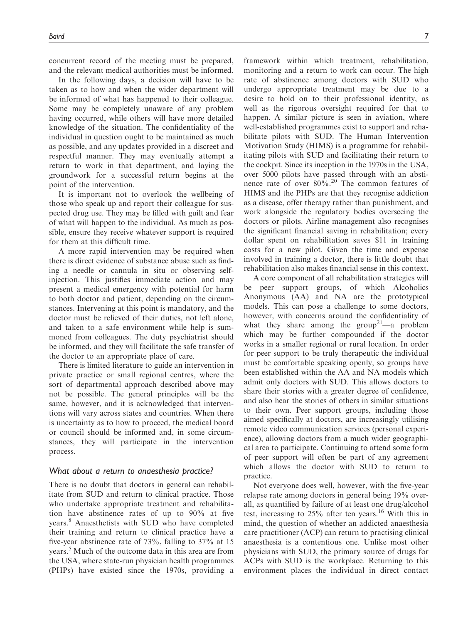concurrent record of the meeting must be prepared, and the relevant medical authorities must be informed.

In the following days, a decision will have to be taken as to how and when the wider department will be informed of what has happened to their colleague. Some may be completely unaware of any problem having occurred, while others will have more detailed knowledge of the situation. The confidentiality of the individual in question ought to be maintained as much as possible, and any updates provided in a discreet and respectful manner. They may eventually attempt a return to work in that department, and laying the groundwork for a successful return begins at the point of the intervention.

It is important not to overlook the wellbeing of those who speak up and report their colleague for suspected drug use. They may be filled with guilt and fear of what will happen to the individual. As much as possible, ensure they receive whatever support is required for them at this difficult time.

A more rapid intervention may be required when there is direct evidence of substance abuse such as finding a needle or cannula in situ or observing selfinjection. This justifies immediate action and may present a medical emergency with potential for harm to both doctor and patient, depending on the circumstances. Intervening at this point is mandatory, and the doctor must be relieved of their duties, not left alone, and taken to a safe environment while help is summoned from colleagues. The duty psychiatrist should be informed, and they will facilitate the safe transfer of the doctor to an appropriate place of care.

There is limited literature to guide an intervention in private practice or small regional centres, where the sort of departmental approach described above may not be possible. The general principles will be the same, however, and it is acknowledged that interventions will vary across states and countries. When there is uncertainty as to how to proceed, the medical board or council should be informed and, in some circumstances, they will participate in the intervention process.

#### What about a return to anaesthesia practice?

There is no doubt that doctors in general can rehabilitate from SUD and return to clinical practice. Those who undertake appropriate treatment and rehabilitation have abstinence rates of up to 90% at five years.<sup>8</sup> Anaesthetists with SUD who have completed their training and return to clinical practice have a five-year abstinence rate of 73%, falling to 37% at 15 years.<sup>5</sup> Much of the outcome data in this area are from the USA, where state-run physician health programmes (PHPs) have existed since the 1970s, providing a framework within which treatment, rehabilitation, monitoring and a return to work can occur. The high rate of abstinence among doctors with SUD who undergo appropriate treatment may be due to a desire to hold on to their professional identity, as well as the rigorous oversight required for that to happen. A similar picture is seen in aviation, where well-established programmes exist to support and rehabilitate pilots with SUD. The Human Intervention Motivation Study (HIMS) is a programme for rehabilitating pilots with SUD and facilitating their return to the cockpit. Since its inception in the 1970s in the USA, over 5000 pilots have passed through with an abstinence rate of over  $80\%$ <sup>20</sup> The common features of HIMS and the PHPs are that they recognise addiction as a disease, offer therapy rather than punishment, and work alongside the regulatory bodies overseeing the doctors or pilots. Airline management also recognises the significant financial saving in rehabilitation; every dollar spent on rehabilitation saves \$11 in training costs for a new pilot. Given the time and expense involved in training a doctor, there is little doubt that rehabilitation also makes financial sense in this context.

A core component of all rehabilitation strategies will be peer support groups, of which Alcoholics Anonymous (AA) and NA are the prototypical models. This can pose a challenge to some doctors, however, with concerns around the confidentiality of what they share among the group<sup>21</sup>—a problem which may be further compounded if the doctor works in a smaller regional or rural location. In order for peer support to be truly therapeutic the individual must be comfortable speaking openly, so groups have been established within the AA and NA models which admit only doctors with SUD. This allows doctors to share their stories with a greater degree of confidence, and also hear the stories of others in similar situations to their own. Peer support groups, including those aimed specifically at doctors, are increasingly utilising remote video communication services (personal experience), allowing doctors from a much wider geographical area to participate. Continuing to attend some form of peer support will often be part of any agreement which allows the doctor with SUD to return to practice.

Not everyone does well, however, with the five-year relapse rate among doctors in general being 19% overall, as quantified by failure of at least one drug/alcohol test, increasing to 25% after ten years.<sup>16</sup> With this in mind, the question of whether an addicted anaesthesia care practitioner (ACP) can return to practising clinical anaesthesia is a contentious one. Unlike most other physicians with SUD, the primary source of drugs for ACPs with SUD is the workplace. Returning to this environment places the individual in direct contact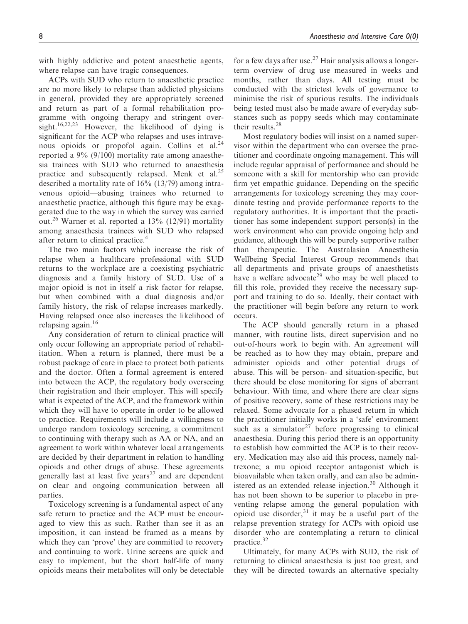with highly addictive and potent anaesthetic agents, where relapse can have tragic consequences.

ACPs with SUD who return to anaesthetic practice are no more likely to relapse than addicted physicians in general, provided they are appropriately screened and return as part of a formal rehabilitation programme with ongoing therapy and stringent oversight.<sup>16,22,23</sup> However, the likelihood of dying is significant for the ACP who relapses and uses intravenous opioids or propofol again. Collins et al.<sup>24</sup> reported a 9% (9/100) mortality rate among anaesthesia trainees with SUD who returned to anaesthesia practice and subsequently relapsed. Menk et al.<sup>25</sup> described a mortality rate of 16% (13/79) among intravenous opioid—abusing trainees who returned to anaesthetic practice, although this figure may be exaggerated due to the way in which the survey was carried out.<sup>26</sup> Warner et al. reported a  $13\%$  (12/91) mortality among anaesthesia trainees with SUD who relapsed after return to clinical practice.<sup>4</sup>

The two main factors which increase the risk of relapse when a healthcare professional with SUD returns to the workplace are a coexisting psychiatric diagnosis and a family history of SUD. Use of a major opioid is not in itself a risk factor for relapse, but when combined with a dual diagnosis and/or family history, the risk of relapse increases markedly. Having relapsed once also increases the likelihood of relapsing again.<sup>16</sup>

Any consideration of return to clinical practice will only occur following an appropriate period of rehabilitation. When a return is planned, there must be a robust package of care in place to protect both patients and the doctor. Often a formal agreement is entered into between the ACP, the regulatory body overseeing their registration and their employer. This will specify what is expected of the ACP, and the framework within which they will have to operate in order to be allowed to practice. Requirements will include a willingness to undergo random toxicology screening, a commitment to continuing with therapy such as AA or NA, and an agreement to work within whatever local arrangements are decided by their department in relation to handling opioids and other drugs of abuse. These agreements generally last at least five years<sup>27</sup> and are dependent on clear and ongoing communication between all parties.

Toxicology screening is a fundamental aspect of any safe return to practice and the ACP must be encouraged to view this as such. Rather than see it as an imposition, it can instead be framed as a means by which they can 'prove' they are committed to recovery and continuing to work. Urine screens are quick and easy to implement, but the short half-life of many opioids means their metabolites will only be detectable for a few days after use.<sup>27</sup> Hair analysis allows a longerterm overview of drug use measured in weeks and months, rather than days. All testing must be conducted with the strictest levels of governance to minimise the risk of spurious results. The individuals being tested must also be made aware of everyday substances such as poppy seeds which may contaminate their results.<sup>28</sup>

Most regulatory bodies will insist on a named supervisor within the department who can oversee the practitioner and coordinate ongoing management. This will include regular appraisal of performance and should be someone with a skill for mentorship who can provide firm yet empathic guidance. Depending on the specific arrangements for toxicology screening they may coordinate testing and provide performance reports to the regulatory authorities. It is important that the practitioner has some independent support person(s) in the work environment who can provide ongoing help and guidance, although this will be purely supportive rather than therapeutic. The Australasian Anaesthesia Wellbeing Special Interest Group recommends that all departments and private groups of anaesthetists have a welfare advocate<sup>29</sup> who may be well placed to fill this role, provided they receive the necessary support and training to do so. Ideally, their contact with the practitioner will begin before any return to work occurs.

The ACP should generally return in a phased manner, with routine lists, direct supervision and no out-of-hours work to begin with. An agreement will be reached as to how they may obtain, prepare and administer opioids and other potential drugs of abuse. This will be person- and situation-specific, but there should be close monitoring for signs of aberrant behaviour. With time, and where there are clear signs of positive recovery, some of these restrictions may be relaxed. Some advocate for a phased return in which the practitioner initially works in a 'safe' environment such as a simulator<sup>27</sup> before progressing to clinical anaesthesia. During this period there is an opportunity to establish how committed the ACP is to their recovery. Medication may also aid this process, namely naltrexone; a mu opioid receptor antagonist which is bioavailable when taken orally, and can also be administered as an extended release injection.<sup>30</sup> Although it has not been shown to be superior to placebo in preventing relapse among the general population with opioid use disorder,  $31$  it may be a useful part of the relapse prevention strategy for ACPs with opioid use disorder who are contemplating a return to clinical practice.<sup>32</sup>

Ultimately, for many ACPs with SUD, the risk of returning to clinical anaesthesia is just too great, and they will be directed towards an alternative specialty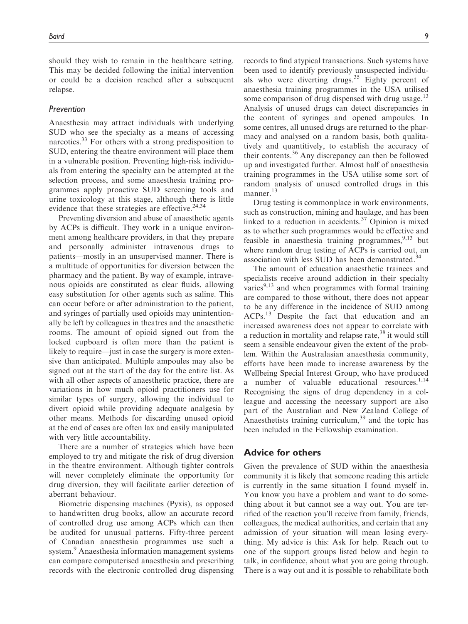should they wish to remain in the healthcare setting. This may be decided following the initial intervention or could be a decision reached after a subsequent relapse.

#### Prevention

Anaesthesia may attract individuals with underlying SUD who see the specialty as a means of accessing narcotics.<sup>33</sup> For others with a strong predisposition to SUD, entering the theatre environment will place them in a vulnerable position. Preventing high-risk individuals from entering the specialty can be attempted at the selection process, and some anaesthesia training programmes apply proactive SUD screening tools and urine toxicology at this stage, although there is little evidence that these strategies are effective. $24,34$ 

Preventing diversion and abuse of anaesthetic agents by ACPs is difficult. They work in a unique environment among healthcare providers, in that they prepare and personally administer intravenous drugs to patients—mostly in an unsupervised manner. There is a multitude of opportunities for diversion between the pharmacy and the patient. By way of example, intravenous opioids are constituted as clear fluids, allowing easy substitution for other agents such as saline. This can occur before or after administration to the patient, and syringes of partially used opioids may unintentionally be left by colleagues in theatres and the anaesthetic rooms. The amount of opioid signed out from the locked cupboard is often more than the patient is likely to require—just in case the surgery is more extensive than anticipated. Multiple ampoules may also be signed out at the start of the day for the entire list. As with all other aspects of anaesthetic practice, there are variations in how much opioid practitioners use for similar types of surgery, allowing the individual to divert opioid while providing adequate analgesia by other means. Methods for discarding unused opioid at the end of cases are often lax and easily manipulated with very little accountability.

There are a number of strategies which have been employed to try and mitigate the risk of drug diversion in the theatre environment. Although tighter controls will never completely eliminate the opportunity for drug diversion, they will facilitate earlier detection of aberrant behaviour.

Biometric dispensing machines (Pyxis), as opposed to handwritten drug books, allow an accurate record of controlled drug use among ACPs which can then be audited for unusual patterns. Fifty-three percent of Canadian anaesthesia programmes use such a system.<sup>9</sup> Anaesthesia information management systems can compare computerised anaesthesia and prescribing records with the electronic controlled drug dispensing records to find atypical transactions. Such systems have been used to identify previously unsuspected individuals who were diverting drugs.<sup>35</sup> Eighty percent of anaesthesia training programmes in the USA utilised some comparison of drug dispensed with drug usage.<sup>13</sup> Analysis of unused drugs can detect discrepancies in the content of syringes and opened ampoules. In some centres, all unused drugs are returned to the pharmacy and analysed on a random basis, both qualitatively and quantitively, to establish the accuracy of their contents.<sup>36</sup> Any discrepancy can then be followed up and investigated further. Almost half of anaesthesia training programmes in the USA utilise some sort of random analysis of unused controlled drugs in this manner.<sup>13</sup>

Drug testing is commonplace in work environments, such as construction, mining and haulage, and has been linked to a reduction in accidents. $37$  Opinion is mixed as to whether such programmes would be effective and feasible in anaesthesia training programmes,  $9,13$  but where random drug testing of ACPs is carried out, an association with less SUD has been demonstrated.<sup>34</sup>

The amount of education anaesthetic trainees and specialists receive around addiction in their specialty varies $9,13$  and when programmes with formal training are compared to those without, there does not appear to be any difference in the incidence of SUD among ACPs.<sup>13</sup> Despite the fact that education and an increased awareness does not appear to correlate with a reduction in mortality and relapse rate, $38$  it would still seem a sensible endeavour given the extent of the problem. Within the Australasian anaesthesia community, efforts have been made to increase awareness by the Wellbeing Special Interest Group, who have produced a number of valuable educational resources.<sup>1,14</sup> Recognising the signs of drug dependency in a colleague and accessing the necessary support are also part of the Australian and New Zealand College of Anaesthetists training curriculum,<sup>39</sup> and the topic has been included in the Fellowship examination.

# Advice for others

Given the prevalence of SUD within the anaesthesia community it is likely that someone reading this article is currently in the same situation I found myself in. You know you have a problem and want to do something about it but cannot see a way out. You are terrified of the reaction you'll receive from family, friends, colleagues, the medical authorities, and certain that any admission of your situation will mean losing everything. My advice is this: Ask for help. Reach out to one of the support groups listed below and begin to talk, in confidence, about what you are going through. There is a way out and it is possible to rehabilitate both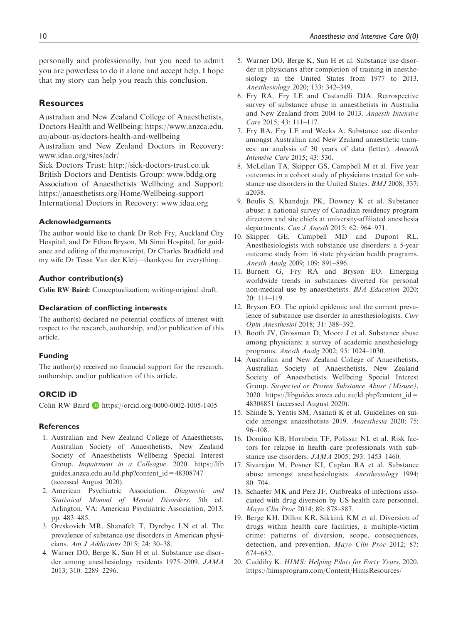personally and professionally, but you need to admit you are powerless to do it alone and accept help. I hope that my story can help you reach this conclusion.

# **Resources**

Australian and New Zealand College of Anaesthetists, Doctors Health and Wellbeing: [https://www.anzca.edu.](https://www.anzca.edu.au/about-us/doctors-health-and-wellbeing) [au/about-us/doctors-health-and-wellbeing](https://www.anzca.edu.au/about-us/doctors-health-and-wellbeing) Australian and New Zealand Doctors in Recovery:

[www.idaa.org/sites/adr/](http://www.idaa.org/sites/adr/)

Sick Doctors Trust:<http://sick-doctors-trust.co.uk> British Doctors and Dentists Group: [www.bddg.org](http://www.bddg.org) Association of Anaesthetists Wellbeing and Support: <https://anaesthetists.org/Home/Wellbeing-support> International Doctors in Recovery: [www.idaa.org](http://www.idaa.org)

#### Acknowledgements

The author would like to thank Dr Rob Fry, Auckland City Hospital, and Dr Ethan Bryson, Mt Sinai Hospital, for guidance and editing of the manuscript. Dr Charles Bradfield and my wife Dr Tessa Van der Kleij—thankyou for everything.

# Author contribution(s)

Colin RW Baird: Conceptualization; writing-original draft.

#### Declaration of conflicting interests

The author(s) declared no potential conflicts of interest with respect to the research, authorship, and/or publication of this article.

## Funding

The author(s) received no financial support for the research, authorship, and/or publication of this article.

#### ORCID iD

Colin RW Baird **D** <https://orcid.org/0000-0002-1005-1405>

#### References

- 1. Australian and New Zealand College of Anaesthetists, Australian Society of Anaesthetists, New Zealand Society of Anaesthetists Wellbeing Special Interest Group. Impairment in a Colleague. 2020. [https://lib](https://libguides.anzca.edu.au/ld.php?content_id=48308747) [guides.anzca.edu.au/ld.php?content\\_id=48308747](https://libguides.anzca.edu.au/ld.php?content_id=48308747) (accessed August 2020).
- 2. American Psychiatric Association. Diagnostic and Statistical Manual of Mental Disorders, 5th ed. Arlington, VA: American Psychiatric Association, 2013, pp. 483–485.
- 3. Oreskovich MR, Shanafelt T, Dyrebye LN et al. The prevalence of substance use disorders in American physicians. Am J Addictions 2015; 24: 30–38.
- 4. Warner DO, Berge K, Sun H et al. Substance use disorder among anesthesiology residents 1975–2009. JAMA 2013; 310: 2289–2296.
- 5. Warner DO, Berge K, Sun H et al. Substance use disorder in physicians after completion of training in anesthesiology in the United States from 1977 to 2013. Anesthesiology 2020; 133: 342–349.
- 6. Fry RA, Fry LE and Castanelli DJA. Retrospective survey of substance abuse in anaesthetists in Australia and New Zealand from 2004 to 2013. Anaesth Intensive Care 2015; 43: 111–117.
- 7. Fry RA, Fry LE and Weeks A. Substance use disorder amongst Australian and New Zealand anaesthetic trainees: an analysis of 30 years of data (letter). Anaesth Intensive Care 2015; 43: 530.
- 8. McLellan TA, Skipper GS, Campbell M et al. Five year outcomes in a cohort study of physicians treated for substance use disorders in the United States. BMJ 2008; 337: a2038.
- 9. Boulis S, Khanduja PK, Downey K et al. Substance abuse: a national survey of Canadian residency program directors and site chiefs at university-affiliated anesthesia departments. Can J Anesth 2015; 62: 964–971.
- 10. Skipper GE, Campbell MD and Dupont RL. Anesthesiologists with substance use disorders: a 5-year outcome study from 16 state physician health programs. Anesth Analg 2009; 109: 891–896.
- 11. Burnett G, Fry RA and Bryson EO. Emerging worldwide trends in substances diverted for personal non-medical use by anaesthetists. BJA Education 2020; 20: 114–119.
- 12. Bryson EO. The opioid epidemic and the current prevalence of substance use disorder in anesthesiologists. Curr Opin Anesthesiol 2018; 31: 388–392.
- 13. Booth JV, Grossman D, Moore J et al. Substance abuse among physicians: a survey of academic anesthesiology programs. Anesth Analg 2002; 95: 1024–1030.
- 14. Australian and New Zealand College of Anaesthetists, Australian Society of Anaesthetists, New Zealand Society of Anaesthetists Wellbeing Special Interest Group. Suspected or Proven Substance Abuse (Misuse), 2020. [https://libguides.anzca.edu.au/ld.php?content\\_id=](https://libguides.anzca.edu.au/ld.php?content_id=48308851) [48308851](https://libguides.anzca.edu.au/ld.php?content_id=48308851) (accessed August 2020).
- 15. Shinde S, Yentis SM, Asanati K et al. Guidelines on suicide amongst anaesthetists 2019. Anaesthesia 2020; 75: 96–108.
- 16. Domino KB, Hornbein TF, Polissar NL et al. Risk factors for relapse in health care professionals with substance use disorders. JAMA 2005; 293: 1453–1460.
- 17. Sivarajan M, Posner KI, Caplan RA et al. Substance abuse amongst anesthesiologists. Anesthesiology 1994;  $80 \cdot 704$
- 18. Schaefer MK and Perz JF. Outbreaks of infections associated with drug diversion by US health care personnel. Mayo Clin Proc 2014; 89: 878–887.
- 19. Berge KH, Dillon KR, Sikkink KM et al. Diversion of drugs within health care facilities, a multiple-victim crime: patterns of diversion, scope, consequences, detection, and prevention. Mayo Clin Proc 2012; 87: 674–682.
- 20. Cuddihy K. HIMS: Helping Pilots for Forty Years. 2020. [https://himsprogram.com/Content/HimsResources/](https://himsprogram.com/Content/HimsResources/HIMS_Helping%20Pilots%20for%20Forty%20Years.pdf)